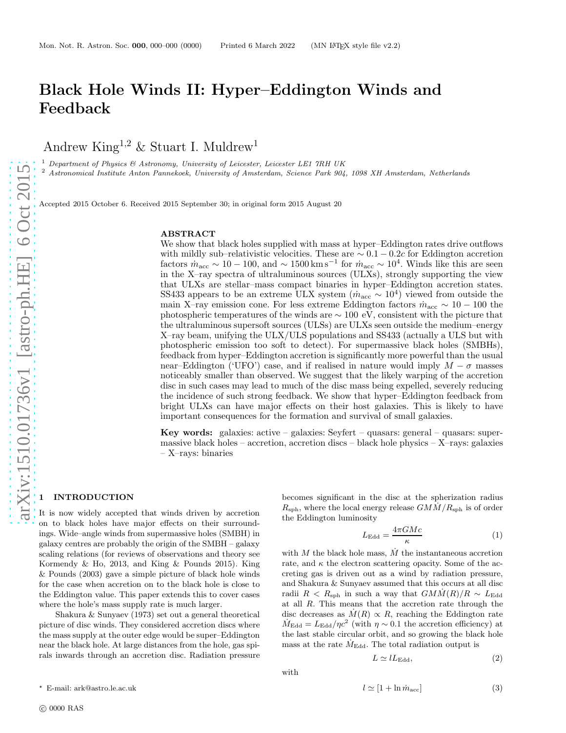Andrew King<sup>1,2</sup> & Stuart I. Muldrew<sup>1</sup>

<sup>1</sup> Department of Physics & Astronomy, University of Leicester, Leicester LE1 7RH UK

<sup>2</sup> Astronomical Institute Anton Pannekoek, University of Amsterdam, Science Park 904, 1098 XH Amsterdam, Netherlands

Accepted 2015 October 6. Received 2015 September 30; in original form 2015 August 20

#### ABSTRACT

We show that black holes supplied with mass at hyper–Eddington rates drive outflows with mildly sub–relativistic velocities. These are  $\sim 0.1 - 0.2c$  for Eddington accretion factors  $\dot{m}_{\rm acc} \sim 10 - 100$ , and  $\sim 1500 \,\rm km\,s^{-1}$  for  $\dot{m}_{\rm acc} \sim 10^4$ . Winds like this are seen in the X–ray spectra of ultraluminous sources (ULXs), strongly supporting the view that ULXs are stellar–mass compact binaries in hyper–Eddington accretion states. SS433 appears to be an extreme ULX system  $(m_{\text{acc}} \sim 10^4)$  viewed from outside the main X–ray emission cone. For less extreme Eddington factors  $\dot{m}_{\text{acc}} \sim 10 - 100$  the photospheric temperatures of the winds are  $\sim 100$  eV, consistent with the picture that the ultraluminous supersoft sources (ULSs) are ULXs seen outside the medium–energy X–ray beam, unifying the ULX/ULS populations and SS433 (actually a ULS but with photospheric emission too soft to detect). For supermassive black holes (SMBHs), feedback from hyper–Eddington accretion is significantly more powerful than the usual near–Eddington ('UFO') case, and if realised in nature would imply  $M - \sigma$  masses noticeably smaller than observed. We suggest that the likely warping of the accretion disc in such cases may lead to much of the disc mass being expelled, severely reducing the incidence of such strong feedback. We show that hyper–Eddington feedback from bright ULXs can have major effects on their host galaxies. This is likely to have important consequences for the formation and survival of small galaxies.

Key words: galaxies:  $active - galaxies$ : Seyfert – quasars: general – quasars: supermassive black holes – accretion, accretion discs – black hole physics –  $X$ –rays: galaxies – X–rays: binaries

# **INTRODUCTION**

It is now widely accepted that winds driven by accretion on to black holes have major effects on their surroundings. Wide–angle winds from supermassive holes (SMBH) in galaxy centres are probably the origin of the SMBH – galaxy scaling relations (for reviews of observations and theory see Kormendy & Ho, 2013, and King & Pounds 2015). King & Pounds (2003) gave a simple picture of black hole winds for the case when accretion on to the black hole is close to the Eddington value. This paper extends this to cover cases where the hole's mass supply rate is much larger.

Shakura & Sunyaev (1973) set out a general theoretical picture of disc winds. They considered accretion discs where the mass supply at the outer edge would be super–Eddington near the black hole. At large distances from the hole, gas spirals inwards through an accretion disc. Radiation pressure

becomes significant in the disc at the spherization radius  $R_{\rm sph}$ , where the local energy release  $GM\dot{M}/R_{\rm sph}$  is of order the Eddington luminosity

<span id="page-0-1"></span>
$$
L_{\rm Edd} = \frac{4\pi GMc}{\kappa} \tag{1}
$$

with  $M$  the black hole mass,  $\dot{M}$  the instantaneous accretion rate, and  $\kappa$  the electron scattering opacity. Some of the accreting gas is driven out as a wind by radiation pressure, and Shakura & Sunyaev assumed that this occurs at all disc radii  $R < R_{\rm sph}$  in such a way that  $G M \dot{M}(R)/R \sim L_{\rm Edd}$ at all R. This means that the accretion rate through the disc decreases as  $\dot{M}(R) \propto R$ , reaching the Eddington rate  $\dot{M}_{\text{Edd}} = L_{\text{Edd}} / \eta c^2$  (with  $\eta \sim 0.1$  the accretion efficiency) at the last stable circular orbit, and so growing the black hole mass at the rate  $\dot{M}_{\text{Edd}}$ . The total radiation output is

<span id="page-0-2"></span>
$$
L \simeq lL_{\rm Edd},\tag{2}
$$

<span id="page-0-0"></span>
$$
l \simeq [1 + \ln \dot{m}_{\text{acc}}] \tag{3}
$$

 $^\star\,$  E-mail: ark@astro.le.ac.uk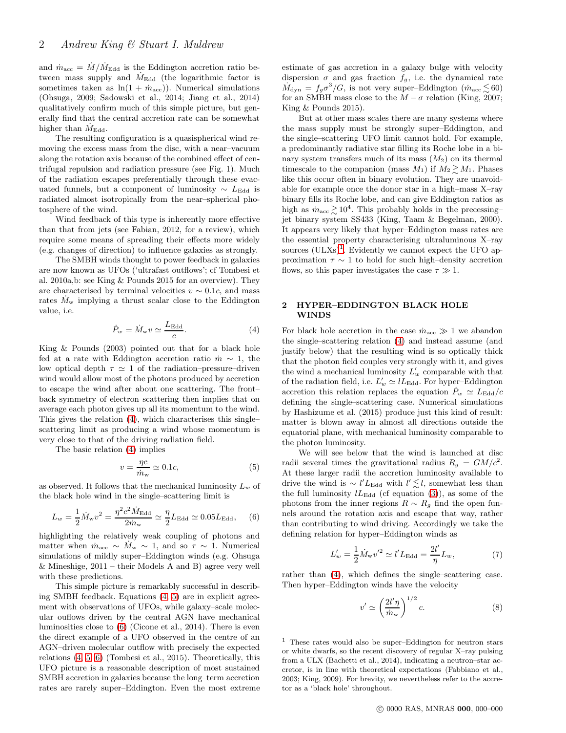and  $\dot{m}_{\text{acc}} = \dot{M} / \dot{M}_{\text{Edd}}$  is the Eddington accretion ratio between mass supply and  $M_{\text{Edd}}$  (the logarithmic factor is sometimes taken as  $\ln(1 + \dot{m}_{\text{acc}})$ . Numerical simulations (Ohsuga, 2009; Sadowski et al., 2014; Jiang et al., 2014) qualitatively confirm much of this simple picture, but generally find that the central accretion rate can be somewhat higher than  $M_{\rm Edd}$ .

The resulting configuration is a quasispherical wind removing the excess mass from the disc, with a near–vacuum along the rotation axis because of the combined effect of centrifugal repulsion and radiation pressure (see Fig. 1). Much of the radiation escapes preferentially through these evacuated funnels, but a component of luminosity  $\sim L_{\text{Edd}}$  is radiated almost isotropically from the near–spherical photosphere of the wind.

Wind feedback of this type is inherently more effective than that from jets (see Fabian, 2012, for a review), which require some means of spreading their effects more widely (e.g. changes of direction) to influence galaxies as strongly.

The SMBH winds thought to power feedback in galaxies are now known as UFOs ('ultrafast outflows'; cf Tombesi et al. 2010a,b: see King & Pounds 2015 for an overview). They are characterised by terminal velocities  $v \sim 0.1c$ , and mass rates  $M_w$  implying a thrust scalar close to the Eddington value, i.e.

<span id="page-1-0"></span>
$$
\dot{P}_w = \dot{M}_w v \simeq \frac{L_{\rm Edd}}{c}.
$$
\n(4)

King & Pounds (2003) pointed out that for a black hole fed at a rate with Eddington accretion ratio  $\dot{m} \sim 1$ , the low optical depth  $\tau \simeq 1$  of the radiation–pressure–driven wind would allow most of the photons produced by accretion to escape the wind after about one scattering. The front– back symmetry of electron scattering then implies that on average each photon gives up all its momentum to the wind. This gives the relation [\(4\)](#page-1-0), which characterises this single– scattering limit as producing a wind whose momentum is very close to that of the driving radiation field.

The basic relation [\(4\)](#page-1-0) implies

<span id="page-1-1"></span>
$$
v = \frac{\eta c}{\dot{m}_{\rm w}} \simeq 0.1c,\tag{5}
$$

as observed. It follows that the mechanical luminosity  $L_w$  of the black hole wind in the single–scattering limit is

<span id="page-1-2"></span>
$$
L_w = \frac{1}{2} \dot{M}_{\rm w} v^2 = \frac{\eta^2 c^2 \dot{M}_{\rm Edd}}{2 \dot{m}_{\rm w}} \simeq \frac{\eta}{2} L_{\rm Edd} \simeq 0.05 L_{\rm Edd}, \quad (6)
$$

highlighting the relatively weak coupling of photons and matter when  $\dot{m}_{\text{acc}} \sim \dot{M}_{\text{w}} \sim 1$ , and so  $\tau \sim 1$ . Numerical simulations of mildly super–Eddington winds (e.g. Ohsuga & Mineshige, 2011 – their Models A and B) agree very well with these predictions.

This simple picture is remarkably successful in describing SMBH feedback. Equations [\(4,](#page-1-0) [5\)](#page-1-1) are in explicit agreement with observations of UFOs, while galaxy–scale molecular ouflows driven by the central AGN have mechanical luminosities close to [\(6\)](#page-1-2) (Cicone et al., 2014). There is even the direct example of a UFO observed in the centre of an AGN–driven molecular outflow with precisely the expected relations [\(4,](#page-1-0) [5,](#page-1-1) [6\)](#page-1-2) (Tombesi et al., 2015). Theoretically, this UFO picture is a reasonable description of most sustained SMBH accretion in galaxies because the long–term accretion rates are rarely super–Eddington. Even the most extreme estimate of gas accretion in a galaxy bulge with velocity dispersion  $\sigma$  and gas fraction  $f_g$ , i.e. the dynamical rate  $\dot{M}_{\text{dyn}} = f_g \sigma^3 / G$ , is not very super-Eddington  $(m_{\text{acc}} \lesssim 60)$ for an SMBH mass close to the  $M - \sigma$  relation (King, 2007; King & Pounds 2015).

But at other mass scales there are many systems where the mass supply must be strongly super–Eddington, and the single–scattering UFO limit cannot hold. For example, a predominantly radiative star filling its Roche lobe in a binary system transfers much of its mass  $(M_2)$  on its thermal timescale to the companion (mass  $M_1$ ) if  $M_2 \gtrsim M_1$ . Phases like this occur often in binary evolution. They are unavoidable for example once the donor star in a high–mass X–ray binary fills its Roche lobe, and can give Eddington ratios as high as  $\dot{m}_{\text{acc}} \gtrsim 10^4$ . This probably holds in the precessing– jet binary system SS433 (King, Taam & Begelman, 2000). It appears very likely that hyper–Eddington mass rates are the essential property characterising ultraluminous X–ray sources  $(ULXs)^{1}$  $(ULXs)^{1}$  $(ULXs)^{1}$ . Evidently we cannot expect the UFO approximation  $\tau \sim 1$  to hold for such high–density accretion flows, so this paper investigates the case  $\tau \gg 1$ .

# 2 HYPER–EDDINGTON BLACK HOLE WINDS

For black hole accretion in the case  $\dot{m}_{\text{acc}} \gg 1$  we abandon the single–scattering relation [\(4\)](#page-1-0) and instead assume (and justify below) that the resulting wind is so optically thick that the photon field couples very strongly with it, and gives the wind a mechanical luminosity  $L'_w$  comparable with that of the radiation field, i.e.  $L'_w \simeq l L_{\text{Edd}}$ . For hyper-Eddington accretion this relation replaces the equation  $\dot{P}_w \simeq L_{\text{Edd}}/c$ defining the single–scattering case. Numerical simulations by Hashizume et al. (2015) produce just this kind of result: matter is blown away in almost all directions outside the equatorial plane, with mechanical luminosity comparable to the photon luminosity.

We will see below that the wind is launched at disc radii several times the gravitational radius  $R_g = GM/c^2$ . At these larger radii the accretion luminosity available to drive the wind is  $\sim l' L_{\text{Edd}}$  with  $l' \lesssim l$ , somewhat less than the full luminosity  $lL_{\text{Edd}}$  (cf equation [\(3\)](#page-0-0)), as some of the photons from the inner regions  $R \sim R_g$  find the open funnels around the rotation axis and escape that way, rather than contributing to wind driving. Accordingly we take the defining relation for hyper–Eddington winds as

<span id="page-1-5"></span>
$$
L'_{w} = \frac{1}{2} \dot{M}_{w} v'^2 \simeq l' L_{\text{Edd}} = \frac{2l'}{\eta} L_{w},\tag{7}
$$

rather than [\(4\)](#page-1-0), which defines the single–scattering case. Then hyper–Eddington winds have the velocity

<span id="page-1-4"></span>
$$
v' \simeq \left(\frac{2l'\eta}{\dot{m}_w}\right)^{1/2}c.\tag{8}
$$

<span id="page-1-3"></span><sup>1</sup> These rates would also be super–Eddington for neutron stars or white dwarfs, so the recent discovery of regular X–ray pulsing from a ULX (Bachetti et al., 2014), indicating a neutron–star accretor, is in line with theoretical expectations (Fabbiano et al., 2003; King, 2009). For brevity, we nevertheless refer to the accretor as a 'black hole' throughout.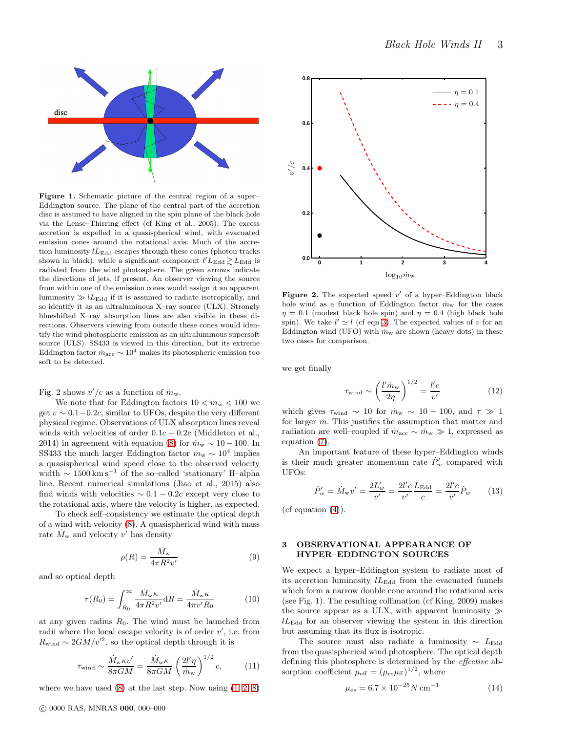$\eta = 0.1$  $\cdots \eta = 0.4$ 



Figure 1. Schematic picture of the central region of a super-Eddington source. The plane of the central part of the accretion disc is assumed to have aligned in the spin plane of the black hole via the Lense–Thirring effect (cf King et al., 2005). The excess accretion is expelled in a quasispherical wind, with evacuated emission cones around the rotational axis. Much  $\frac{\text{PGFing}}{\text{OFT}}$  replacements tion luminosity  $lL_{\rm Edd}$  escapes through these cones (photon tracks shown in black), while a significant component  $l'L_{\text{Edd}} \gtrsim L_{\text{Edd}}$  is radiated from the wind photosphere. The green arrows indicate the directions of jets, if present. An observer viewing the source from within one of the emission cones would assign it an apparent luminosity  $\gg$  lL<sub>Edd</sub> if it is assumed to radiate isotropically, and so identify it as an ultraluminous X–ray source (ULX). Strongly blueshifted X–ray absorption lines are also visible in these directions. Observers viewing from outside these cones would identify the wind photospheric emission as an ultraluminous supersoft source (ULS). SS433 is viewed in this direction, but its extreme Eddington factor  $\dot{m}_{\text{acc}} \sim 10^4$  makes its photospheric emission too soft to be detected.

Fig. 2 shows  $v'/c$  as a function of  $\dot{m}_{w}$ .

We note that for Eddington factors  $10 < \dot{m}_{\rm w} < 100$  we get  $v \sim 0.1 - 0.2c$ , similar to UFOs, despite the very different physical regime. Observations of ULX absorption lines reveal winds with velocities of order  $0.1c - 0.2c$  (Middleton et al., 2014) in agreement with equation [\(8\)](#page-1-4) for  $\dot{m}_{\rm w} \sim 10 - 100$ . In SS433 the much larger Eddington factor  $\dot{m}_{\rm w} \sim 10^4$  implies a quasispherical wind speed close to the observed velocity width  $\sim 1500 \,\mathrm{km\,s}^{-1}$  of the so-called 'stationary' H-alpha line. Recent numerical simulations (Jiao et al., 2015) also find winds with velocities  $\sim 0.1 - 0.2c$  except very close to the rotational axis, where the velocity is higher, as expected.

To check self–consistency we estimate the optical depth of a wind with velocity [\(8\)](#page-1-4). A quasispherical wind with mass rate  $\dot{M}_{\rm w}$  and velocity  $v'$  has density

<span id="page-2-0"></span>
$$
\rho(R) = \frac{\dot{M}_{\rm w}}{4\pi R^2 v'}\tag{9}
$$

and so optical depth

<span id="page-2-1"></span>
$$
\tau(R_0) = \int_{R_0}^{\infty} \frac{\dot{M}_{\rm w}\kappa}{4\pi R^2 v'} dR = \frac{\dot{M}_{\rm w}\kappa}{4\pi v' R_0} \tag{10}
$$

at any given radius  $R_0$ . The wind must be launched from radii where the local escape velocity is of order  $v'$ , i.e. from  $R_{\text{wind}} \sim 2GM/v'^2$ , so the optical depth through it is

$$
\tau_{\text{wind}} \sim \frac{\dot{M}_{\text{w}} \kappa v'}{8\pi GM} = \frac{\dot{M}_{\text{w}} \kappa}{8\pi GM} \left(\frac{2l'\eta}{\dot{m}_{\text{w}}}\right)^{1/2} c,\tag{11}
$$

where we have used  $(8)$  at the last step. Now using  $(1, 2, 8)$  $(1, 2, 8)$  $(1, 2, 8)$ 



**0.4**

 $v'/c$ 

**0.6**

**0.8**

$$
\tau_{\text{wind}} \sim \left(\frac{l' \dot{m}_{\text{w}}}{2\eta}\right)^{1/2} = \frac{l'c}{v'}\tag{12}
$$

which gives  $\tau_{\text{wind}} \sim 10$  for  $\dot{m}_{\text{w}} \sim 10 - 100$ , and  $\tau \gg 1$ for larger  $\dot{m}$ . This justifies the assumption that matter and radiation are well–coupled if  $\dot{m}_{\rm acc} \sim \dot{m}_{\rm w} \gg 1$ , expressed as equation  $(7)$ .

An important feature of these hyper–Eddington winds is their much greater momentum rate  $\dot{P}'_w$  compared with UFOs:

$$
\dot{P}'_w = \dot{M}_w v' = \frac{2L'_w}{v'} = \frac{2l'c}{v'} \frac{L_{\text{Edd}}}{c} = \frac{2l'c}{v'} \dot{P}_w \qquad (13)
$$

 $(cf equation (4)).$  $(cf equation (4)).$  $(cf equation (4)).$ 

# 3 OBSERVATIONAL APPEARANCE OF HYPER–EDDINGTON SOURCES

We expect a hyper–Eddington system to radiate most of its accretion luminosity  $lL_{\text{Edd}}$  from the evacuated funnels which form a narrow double cone around the rotational axis (see Fig. 1). The resulting collimation (cf King, 2009) makes the source appear as a ULX, with apparent luminosity  $\gg$  $lL_{\text{Edd}}$  for an observer viewing the system in this direction but assuming that its flux is isotropic.

The source must also radiate a luminosity  $\sim L_{\rm Edd}$ from the quasispherical wind photosphere. The optical depth defining this photosphere is determined by the effective absorption coefficient  $\mu_{\text{eff}} = (\mu_{\text{es}}\mu_{\text{ff}})^{1/2}$ , where

$$
\mu_{\rm es} = 6.7 \times 10^{-25} N \,\rm cm^{-1} \tag{14}
$$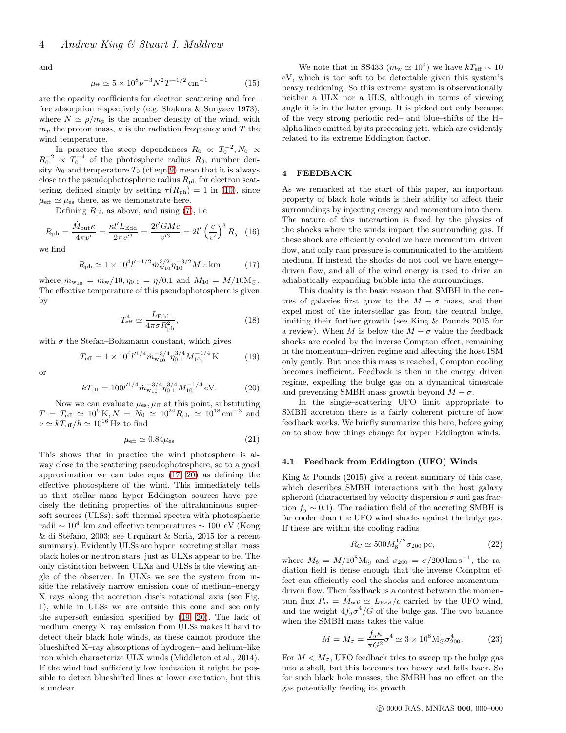and

$$
\mu_{\rm ff} \simeq 5 \times 10^8 \nu^{-3} N^2 T^{-1/2} \,\rm cm^{-1} \tag{15}
$$

are the opacity coefficients for electron scattering and free– free absorption respectively (e.g. Shakura & Sunyaev 1973), where  $N \simeq \rho/m_p$  is the number density of the wind, with  $m<sub>n</sub>$  the proton mass,  $\nu$  is the radiation frequency and T the wind temperature.

In practice the steep dependences  $R_0 \propto T_0^{-2}$ ,  $N_0 \propto$  $R_0^{-2} \propto T_0^{-4}$  of the photospheric radius  $R_0$ , number density  $N_0$  and temperature  $T_0$  (cf eqn [9\)](#page-2-0) mean that it is always close to the pseudophotospheric radius  $R_{\rm ph}$  for electron scattering, defined simply by setting  $\tau(R_{\rm ph}) = 1$  in [\(10\)](#page-2-1), since  $\mu_{\text{eff}} \simeq \mu_{\text{es}}$  there, as we demonstrate here.

Defining  $R_{\rm ph}$  as above, and using [\(7\)](#page-1-5), i.e.

$$
R_{\rm ph} = \frac{\dot{M}_{\rm out}\kappa}{4\pi v'} = \frac{\kappa l' L_{\rm Edd}}{2\pi v'^3} = \frac{2l' GMc}{v'^3} = 2l' \left(\frac{c}{v'}\right)^3 R_g \quad (16)
$$

we find

<span id="page-3-0"></span>
$$
R_{\rm ph} \simeq 1 \times 10^4 l'^{-1/2} \dot{m}_{w_{10}}^{3/2} \eta_{10}^{-3/2} M_{10} \,\mathrm{km} \tag{17}
$$

where  $\dot{m}_{w_{10}} = \dot{m}_w/10, \eta_{0.1} = \eta/0.1$  and  $M_{10} = M/10 M_{\odot}$ . The effective temperature of this pseudophotosphere is given by

$$
T_{\rm eff}^4 \simeq \frac{L_{\rm Edd}}{4\pi\sigma R_{\rm ph}^2},\tag{18}
$$

with  $\sigma$  the Stefan–Boltzmann constant, which gives

<span id="page-3-2"></span>
$$
T_{\text{eff}} = 1 \times 10^6 l'^{1/4} \dot{m}_{w_{10}}^{-3/4} \eta_{0.1}^{3/4} M_{10}^{-1/4} \text{K}
$$
 (19)

or

<span id="page-3-1"></span>
$$
kT_{\text{eff}} = 100l'^{1/4}\dot{m}_{w_{10}}^{-3/4}\eta_{0.1}^{3/4}M_{10}^{-1/4} \text{ eV}.
$$
 (20)

Now we can evaluate  $\mu_{es}$ ,  $\mu_{ff}$  at this point, substituting  $T = T_{\text{eff}} \simeq 10^6 \,\text{K}, N = N_0 \simeq 10^{24} R_{\text{ph}} \simeq 10^{18} \,\text{cm}^{-3}$  and  $\nu \simeq kT_{\text{eff}}/h \simeq 10^{16}$  Hz to find

$$
\mu_{\text{eff}} \simeq 0.84 \mu_{\text{es}} \tag{21}
$$

This shows that in practice the wind photosphere is alway close to the scattering pseudophotosphere, so to a good approximation we can take eqns [\(17,](#page-3-0) [20\)](#page-3-1) as defining the effective photosphere of the wind. This immediately tells us that stellar–mass hyper–Eddington sources have precisely the defining properties of the ultraluminous supersoft sources (ULSs): soft thermal spectra with photospheric radii  $\sim 10^4$  km and effective temperatures  $\sim 100\text{ eV}$  (Kong & di Stefano, 2003; see Urquhart & Soria, 2015 for a recent summary). Evidently ULSs are hyper–accreting stellar–mass black holes or neutron stars, just as ULXs appear to be. The only distinction between ULXs and ULSs is the viewing angle of the observer. In ULXs we see the system from inside the relatively narrow emission cone of medium–energy X–rays along the accretion disc's rotational axis (see Fig. 1), while in ULSs we are outside this cone and see only the supersoft emission specified by [\(19,](#page-3-2) [20\)](#page-3-1). The lack of medium–energy X–ray emission from ULSs makes it hard to detect their black hole winds, as these cannot produce the blueshifted X–ray absorptions of hydrogen– and helium–like iron which characterize ULX winds (Middleton et al., 2014). If the wind had sufficiently low ionization it might be possible to detect blueshifted lines at lower excitation, but this is unclear.

We note that in SS433  $(m_w \simeq 10^4)$  we have  $kT_{\text{eff}} \sim 10^4$ eV, which is too soft to be detectable given this system's heavy reddening. So this extreme system is observationally neither a ULX nor a ULS, although in terms of viewing angle it is in the latter group. It is picked out only because of the very strong periodic red– and blue–shifts of the H– alpha lines emitted by its precessing jets, which are evidently related to its extreme Eddington factor.

# 4 FEEDBACK

As we remarked at the start of this paper, an important property of black hole winds is their ability to affect their surroundings by injecting energy and momentum into them. The nature of this interaction is fixed by the physics of the shocks where the winds impact the surrounding gas. If these shock are efficiently cooled we have momentum–driven flow, and only ram pressure is communicated to the ambient medium. If instead the shocks do not cool we have energy– driven flow, and all of the wind energy is used to drive an adiabatically expanding bubble into the surroundings.

This duality is the basic reason that SMBH in the centres of galaxies first grow to the  $M - \sigma$  mass, and then expel most of the interstellar gas from the central bulge, limiting their further growth (see King & Pounds 2015 for a review). When M is below the  $M - \sigma$  value the feedback shocks are cooled by the inverse Compton effect, remaining in the momentum–driven regime and affecting the host ISM only gently. But once this mass is reached, Compton cooling becomes inefficient. Feedback is then in the energy–driven regime, expelling the bulge gas on a dynamical timescale and preventing SMBH mass growth beyond  $M - \sigma$ .

In the single–scattering UFO limit appropriate to SMBH accretion there is a fairly coherent picture of how feedback works. We briefly summarize this here, before going on to show how things change for hyper–Eddington winds.

## 4.1 Feedback from Eddington (UFO) Winds

King & Pounds (2015) give a recent summary of this case, which describes SMBH interactions with the host galaxy spheroid (characterised by velocity dispersion  $\sigma$  and gas fraction  $f_g \sim 0.1$ ). The radiation field of the accreting SMBH is far cooler than the UFO wind shocks against the bulge gas. If these are within the cooling radius

$$
R_C \simeq 500 M_8^{1/2} \sigma_{200} \,\text{pc},\tag{22}
$$

where  $M_8 = M/10^8$ M<sub>☉</sub> and  $\sigma_{200} = \sigma/200$  km s<sup>-1</sup>, the radiation field is dense enough that the inverse Compton effect can efficiently cool the shocks and enforce momentum– driven flow. Then feedback is a contest between the momentum flux  $\dot{P}_w = \dot{M}_w v \simeq L_{\text{Edd}}/c$  carried by the UFO wind, and the weight  $4f_g\sigma^4/G$  of the bulge gas. The two balance when the SMBH mass takes the value

<span id="page-3-3"></span>
$$
M = M_{\sigma} = \frac{f_g \kappa}{\pi G^2} \sigma^4 \simeq 3 \times 10^8 \text{M}_{\odot} \sigma_{200}^4. \tag{23}
$$

For  $M < M_{\sigma}$ , UFO feedback tries to sweep up the bulge gas into a shell, but this becomes too heavy and falls back. So for such black hole masses, the SMBH has no effect on the gas potentially feeding its growth.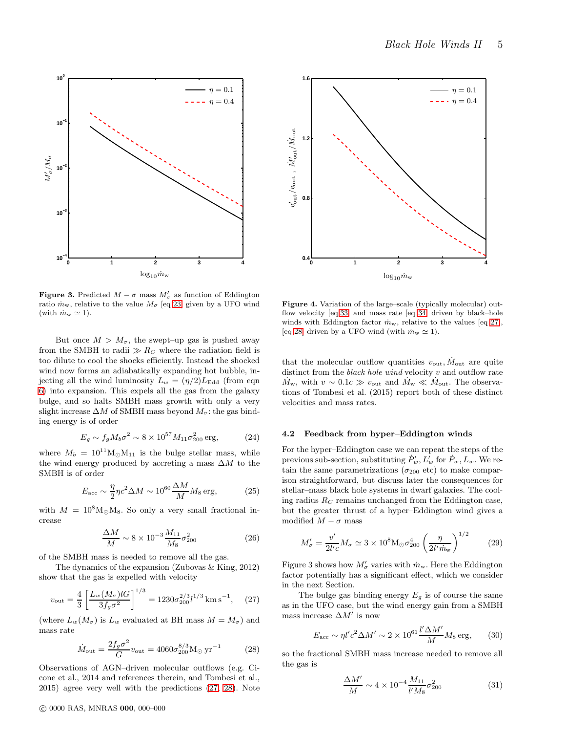

**Figure 3.** Predicted  $M - \sigma$  mass  $M'_{\sigma}$  as function of Eddington ratio  $\dot{m}_{\rm w}$ , relative to the value  $M_{\sigma}$  [eq [23\]](#page-3-3) given by a UFO wind (with  $\dot{m}_{\rm w} \simeq 1$ ).

But once  $M > M_{\sigma}$ , the swept–up gas is pushed away from the SMBH to radii  $\gg R_C$  where the radiation field is too dilute to cool the shocks efficiently. Instead the shocked wind now forms an adiabatically expanding hot bubble, injecting all the wind luminosity  $L_w = (\eta/2) L_{\text{Edd}}$  (from eqn [6\)](#page-1-2) into expansion. This expels all the gas from the galaxy bulge, and so halts SMBH mass growth with only a very slight increase  $\Delta M$  of SMBH mass beyond  $M_{\sigma}$ : the gas binding energy is of order

$$
E_g \sim f_g M_b \sigma^2 \sim 8 \times 10^{57} M_{11} \sigma_{200}^2 \text{ erg}, \tag{24}
$$

where  $M_b = 10^{11} M_{\odot} M_{11}$  is the bulge stellar mass, while the wind energy produced by accreting a mass  $\Delta M$  to the SMBH is of order

$$
E_{\rm acc} \sim \frac{\eta}{2} \eta c^2 \Delta M \sim 10^{60} \frac{\Delta M}{M} M_8 \,\text{erg},\tag{25}
$$

with  $M = 10^8 M_{\odot}M_8$ . So only a very small fractional increase

$$
\frac{\Delta M}{M} \sim 8 \times 10^{-3} \frac{M_{11}}{M_8} \sigma_{200}^2 \tag{26}
$$

of the SMBH mass is needed to remove all the gas.

The dynamics of the expansion (Zubovas & King, 2012) show that the gas is expelled with velocity

<span id="page-4-0"></span>
$$
v_{\text{out}} = \frac{4}{3} \left[ \frac{L_w(M_\sigma) l G}{3 f_g \sigma^2} \right]^{1/3} = 1230 \sigma_{200}^{2/3} l^{1/3} \text{ km s}^{-1}, \quad (27)
$$

(where  $L_w(M_\sigma)$  is  $L_w$  evaluated at BH mass  $M = M_\sigma$ ) and mass rate

<span id="page-4-1"></span>
$$
\dot{M}_{\text{out}} = \frac{2f_g \sigma^2}{G} v_{\text{out}} = 4060 \sigma_{200}^{8/3} M_{\odot} \,\text{yr}^{-1} \tag{28}
$$

Observations of AGN–driven molecular outflows (e.g. Cicone et al., 2014 and references therein, and Tombesi et al., 2015) agree very well with the predictions [\(27,](#page-4-0) [28\)](#page-4-1). Note



Figure 4. Variation of the large–scale (typically molecular) outflow velocity [eq[.33\]](#page-5-0) and mass rate [eq [34\]](#page-5-1) driven by black–hole winds with Eddington factor  $\dot{m}_{\rm w}$ , relative to the values [eq [27\]](#page-4-0), [eq [28\]](#page-4-1) driven by a UFO wind (with  $\dot{m}_w \simeq 1$ ).

that the molecular outflow quantities  $v_{\text{out}}$ ,  $\dot{M}_{\text{out}}$  are quite distinct from the black hole wind velocity  $v$  and outflow rate  $\dot{M}_{\rm w}$ , with  $v \sim 0.1$ c ≫  $v_{\rm out}$  and  $\dot{M}_{\rm w} \ll \dot{M}_{\rm out}$ . The observations of Tombesi et al. (2015) report both of these distinct velocities and mass rates.

#### 4.2 Feedback from hyper–Eddington winds

For the hyper–Eddington case we can repeat the steps of the previous sub-section, substituting  $\dot{P}'_w, L^{\dagger}_w$  for  $\dot{P}_w, L_w$ . We retain the same parametrizations ( $\sigma_{200}$  etc) to make comparison straightforward, but discuss later the consequences for stellar–mass black hole systems in dwarf galaxies. The cooling radius  $R_C$  remains unchanged from the Eddington case, but the greater thrust of a hyper–Eddington wind gives a modified  $M - \sigma$  mass

<span id="page-4-2"></span>
$$
M'_{\sigma} = \frac{v'}{2l'c} M_{\sigma} \simeq 3 \times 10^8 \text{M}_{\odot} \sigma_{200}^4 \left(\frac{\eta}{2l' \dot{m}_{\rm w}}\right)^{1/2} \tag{29}
$$

Figure 3 shows how  $M'_{\sigma}$  varies with  $\dot{m}_{\rm w}$ . Here the Eddington factor potentially has a significant effect, which we consider in the next Section.

The bulge gas binding energy  $E<sub>g</sub>$  is of course the same as in the UFO case, but the wind energy gain from a SMBH mass increase  $\Delta M'$  is now

$$
E_{\rm acc} \sim \eta l' c^2 \Delta M' \sim 2 \times 10^{61} \frac{l' \Delta M'}{M} M_8 \,\text{erg},\qquad(30)
$$

so the fractional SMBH mass increase needed to remove all the gas is

<span id="page-4-3"></span>
$$
\frac{\Delta M'}{M} \sim 4 \times 10^{-4} \frac{M_{11}}{l'M_8} \sigma_{200}^2 \tag{31}
$$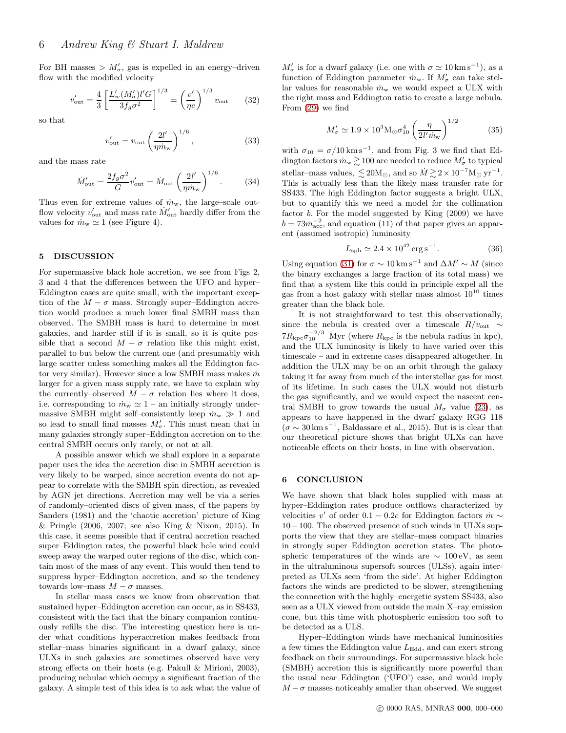For BH masses  $> M'_{\sigma}$ , gas is expelled in an energy-driven flow with the modified velocity

$$
v'_{\text{out}} = \frac{4}{3} \left[ \frac{L'_w (M'_\sigma) l' G}{3 f_g \sigma^2} \right]^{1/3} = \left( \frac{v'}{\eta c} \right)^{1/3} v_{\text{out}} \qquad (32)
$$

so that

<span id="page-5-0"></span>
$$
v'_{\text{out}} = v_{\text{out}} \left(\frac{2l'}{\eta \dot{m}_{\text{w}}}\right)^{1/6},\tag{33}
$$

and the mass rate

<span id="page-5-1"></span>
$$
\dot{M}'_{\text{out}} = \frac{2f_g \sigma^2}{G} v'_{\text{out}} = \dot{M}_{\text{out}} \left(\frac{2l'}{\eta \dot{m}_{\text{w}}}\right)^{1/6}.
$$
 (34)

Thus even for extreme values of  $\dot{m}_{\rm w}$ , the large–scale outflow velocity  $v'_{\text{out}}$  and mass rate  $\dot{M}'_{\text{out}}$  hardly differ from the values for  $\dot{m}_{\rm w} \simeq 1$  (see Figure 4).

#### 5 DISCUSSION

For supermassive black hole accretion, we see from Figs 2, 3 and 4 that the differences between the UFO and hyper– Eddington cases are quite small, with the important exception of the  $M - \sigma$  mass. Strongly super–Eddington accretion would produce a much lower final SMBH mass than observed. The SMBH mass is hard to determine in most galaxies, and harder still if it is small, so it is quite possible that a second  $M - \sigma$  relation like this might exist, parallel to but below the current one (and presumably with large scatter unless something makes all the Eddington factor very similar). However since a low SMBH mass makes  $\dot{m}$ larger for a given mass supply rate, we have to explain why the currently–observed  $M - \sigma$  relation lies where it does, i.e. corresponding to  $\dot{m}_w \simeq 1$  – an initially strongly undermassive SMBH might self–consistently keep  $\dot{m}_{\rm w} \gg 1$  and so lead to small final masses  $M'_{\sigma}$ . This must mean that in many galaxies strongly super–Eddington accretion on to the central SMBH occurs only rarely, or not at all.

A possible answer which we shall explore in a separate paper uses the idea the accretion disc in SMBH accretion is very likely to be warped, since accretion events do not appear to correlate with the SMBH spin direction, as revealed by AGN jet directions. Accretion may well be via a series of randomly–oriented discs of given mass, cf the papers by Sanders (1981) and the 'chaotic accretion' picture of King & Pringle (2006, 2007; see also King & Nixon, 2015). In this case, it seems possible that if central accretion reached super–Eddington rates, the powerful black hole wind could sweep away the warped outer regions of the disc, which contain most of the mass of any event. This would then tend to suppress hyper–Eddington accretion, and so the tendency towards low–mass  $M - \sigma$  masses.

In stellar–mass cases we know from observation that sustained hyper–Eddington accretion can occur, as in SS433, consistent with the fact that the binary companion continuously refills the disc. The interesting question here is under what conditions hyperaccretion makes feedback from stellar–mass binaries significant in a dwarf galaxy, since ULXs in such galaxies are sometimes observed have very strong effects on their hosts (e.g. Pakull & Mirioni, 2003), producing nebulae which occupy a significant fraction of the galaxy. A simple test of this idea is to ask what the value of

 $M'_{\sigma}$  is for a dwarf galaxy (i.e. one with  $\sigma \simeq 10 \,\mathrm{km\,s}^{-1}$ ), as a function of Eddington parameter  $\dot{m}_{\rm w}$ . If  $M'_{\sigma}$  can take stellar values for reasonable  $\dot{m}_{\rm w}$  we would expect a ULX with the right mass and Eddington ratio to create a large nebula. From [\(29\)](#page-4-2) we find

$$
M'_{\sigma} \simeq 1.9 \times 10^3 \text{M}_{\odot} \sigma_{10}^4 \left(\frac{\eta}{2l'm_{\text{w}}}\right)^{1/2} \tag{35}
$$

with  $\sigma_{10} = \sigma/10 \,\mathrm{km\,s}^{-1}$ , and from Fig. 3 we find that Eddington factors  $\dot{m}_{\rm w} \gtrsim 100$  are needed to reduce  $M_{\sigma}'$  to typical stellar–mass values,  $\lesssim 20 M_{\odot}$ , and so  $\dot{M} \gtrsim 2 \times 10^{-7} M_{\odot} \text{ yr}^{-1}$ . This is actually less than the likely mass transfer rate for SS433. The high Eddington factor suggests a bright ULX, but to quantify this we need a model for the collimation factor b. For the model suggested by King (2009) we have  $b = 73 \dot{m}_{\text{acc}}^{-2}$ , and equation (11) of that paper gives an apparent (assumed isotropic) luminosity

$$
L_{\rm sph} \simeq 2.4 \times 10^{42} \,\rm erg \,s^{-1}.\tag{36}
$$

Using equation [\(31\)](#page-4-3) for  $\sigma \sim 10 \,\mathrm{km\,s^{-1}}$  and  $\Delta M' \sim M$  (since the binary exchanges a large fraction of its total mass) we find that a system like this could in principle expel all the gas from a host galaxy with stellar mass almost  $10^{10}$  times greater than the black hole.

It is not straightforward to test this observationally, since the nebula is created over a timescale  $R/v_{\text{out}} \sim$  $7R_{\text{kpc}}\sigma_{10}^{-2/3}$  Myr (where  $R_{\text{kpc}}$  is the nebula radius in kpc), and the ULX luminosity is likely to have varied over this timescale – and in extreme cases disappeared altogether. In addition the ULX may be on an orbit through the galaxy taking it far away from much of the interstellar gas for most of its lifetime. In such cases the ULX would not disturb the gas significantly, and we would expect the nascent central SMBH to grow towards the usual  $M_{\sigma}$  value [\(23\)](#page-3-3), as appears to have happened in the dwarf galaxy RGG 118  $(\sigma \sim 30 \,\mathrm{km\,s}^{-1}$ , Baldassare et al., 2015). But is is clear that our theoretical picture shows that bright ULXs can have noticeable effects on their hosts, in line with observation.

## 6 CONCLUSION

We have shown that black holes supplied with mass at hyper–Eddington rates produce outflows characterized by velocities v' of order 0.1 – 0.2c for Eddington factors  $\dot{m} \sim$ 10−100. The observed presence of such winds in ULXs supports the view that they are stellar–mass compact binaries in strongly super–Eddington accretion states. The photospheric temperatures of the winds are  $\sim 100 \text{ eV}$ , as seen in the ultraluminous supersoft sources (ULSs), again interpreted as ULXs seen 'from the side'. At higher Eddington factors the winds are predicted to be slower, strengthening the connection with the highly–energetic system SS433, also seen as a ULX viewed from outside the main X–ray emission cone, but this time with photospheric emission too soft to be detected as a ULS.

Hyper–Eddington winds have mechanical luminosities a few times the Eddington value  $L_{\text{Edd}}$ , and can exert strong feedback on their surroundings. For supermassive black hole (SMBH) accretion this is significantly more powerful than the usual near–Eddington ('UFO') case, and would imply  $M - \sigma$  masses noticeably smaller than observed. We suggest